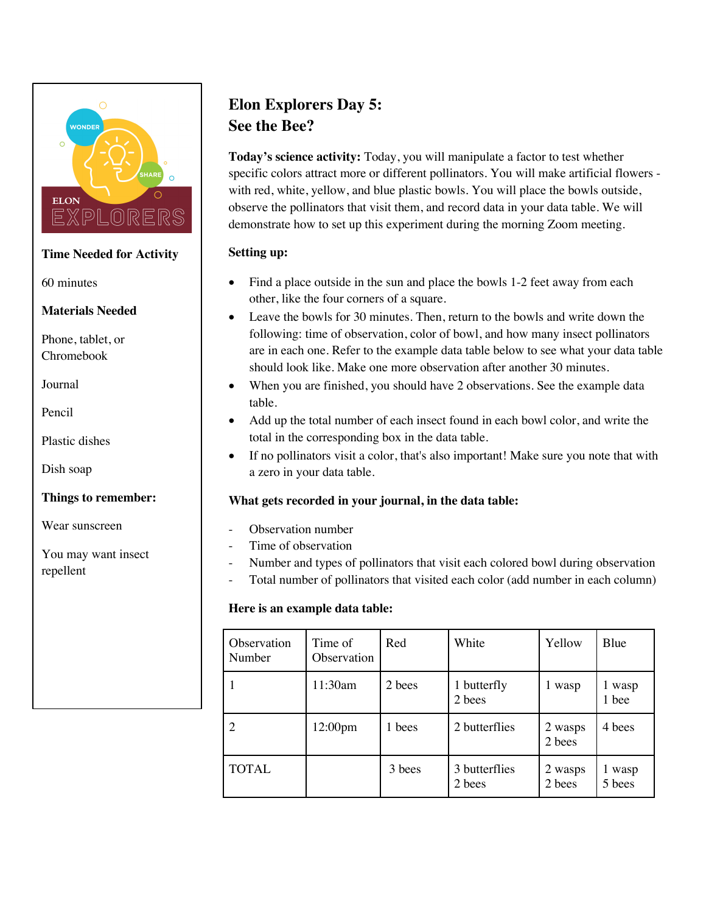

# **Time Needed for Activity**

60 minutes

### **Materials Needed**

Phone, tablet, or Chromebook

Journal

Pencil

Plastic dishes

Dish soap

**Things to remember:** 

Wear sunscreen

You may want insect repellent

# **Elon Explorers Day 5: See the Bee?**

**Today's science activity:** Today, you will manipulate a factor to test whether specific colors attract more or different pollinators. You will make artificial flowers with red, white, yellow, and blue plastic bowls. You will place the bowls outside, observe the pollinators that visit them, and record data in your data table. We will demonstrate how to set up this experiment during the morning Zoom meeting.

# **Setting up:**

- Find a place outside in the sun and place the bowls 1-2 feet away from each other, like the four corners of a square.
- Leave the bowls for 30 minutes. Then, return to the bowls and write down the following: time of observation, color of bowl, and how many insect pollinators are in each one. Refer to the example data table below to see what your data table should look like. Make one more observation after another 30 minutes.
- When you are finished, you should have 2 observations. See the example data table.
- Add up the total number of each insect found in each bowl color, and write the total in the corresponding box in the data table.
- If no pollinators visit a color, that's also important! Make sure you note that with a zero in your data table.

# **What gets recorded in your journal, in the data table:**

- Observation number
- Time of observation
- Number and types of pollinators that visit each colored bowl during observation
- Total number of pollinators that visited each color (add number in each column)

# **Here is an example data table:**

| Observation<br>Number | Time of<br>Observation | Red    | White                   | Yellow            | Blue             |
|-----------------------|------------------------|--------|-------------------------|-------------------|------------------|
|                       | 11:30am                | 2 bees | 1 butterfly<br>2 bees   | 1 wasp            | 1 wasp<br>1 bee  |
|                       | 12:00pm                | 1 bees | 2 butterflies           | 2 wasps<br>2 bees | 4 bees           |
| <b>TOTAL</b>          |                        | 3 bees | 3 butterflies<br>2 bees | 2 wasps<br>2 bees | 1 wasp<br>5 bees |